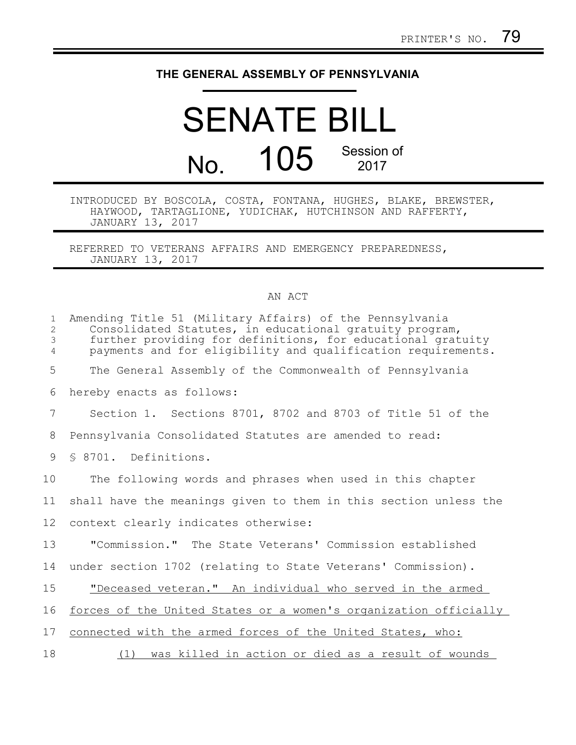## **THE GENERAL ASSEMBLY OF PENNSYLVANIA**

## SENATE BILL No. 105 Session of 2017

## INTRODUCED BY BOSCOLA, COSTA, FONTANA, HUGHES, BLAKE, BREWSTER, HAYWOOD, TARTAGLIONE, YUDICHAK, HUTCHINSON AND RAFFERTY, JANUARY 13, 2017

REFERRED TO VETERANS AFFAIRS AND EMERGENCY PREPAREDNESS, JANUARY 13, 2017

## AN ACT

| $\mathbf{1}$<br>2<br>3<br>4 | Amending Title 51 (Military Affairs) of the Pennsylvania<br>Consolidated Statutes, in educational gratuity program,<br>further providing for definitions, for educational gratuity<br>payments and for eligibility and qualification requirements. |
|-----------------------------|----------------------------------------------------------------------------------------------------------------------------------------------------------------------------------------------------------------------------------------------------|
| 5                           | The General Assembly of the Commonwealth of Pennsylvania                                                                                                                                                                                           |
| 6                           | hereby enacts as follows:                                                                                                                                                                                                                          |
| 7                           | Section 1. Sections 8701, 8702 and 8703 of Title 51 of the                                                                                                                                                                                         |
| 8                           | Pennsylvania Consolidated Statutes are amended to read:                                                                                                                                                                                            |
| 9                           | § 8701. Definitions.                                                                                                                                                                                                                               |
| 10                          | The following words and phrases when used in this chapter                                                                                                                                                                                          |
| 11                          | shall have the meanings given to them in this section unless the                                                                                                                                                                                   |
| 12                          | context clearly indicates otherwise:                                                                                                                                                                                                               |
| 13                          | "Commission." The State Veterans' Commission established                                                                                                                                                                                           |
| 14                          | under section 1702 (relating to State Veterans' Commission).                                                                                                                                                                                       |
| 15                          | "Deceased veteran." An individual who served in the armed                                                                                                                                                                                          |
| 16                          | forces of the United States or a women's organization officially                                                                                                                                                                                   |
| 17                          | connected with the armed forces of the United States, who:                                                                                                                                                                                         |
| 18                          | was killed in action or died as a result of wounds<br>(1)                                                                                                                                                                                          |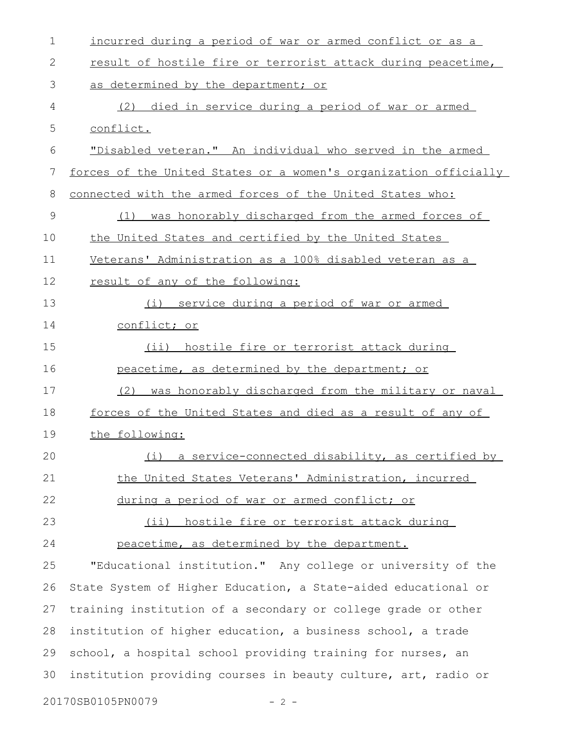| $\mathbf 1$ | incurred during a period of war or armed conflict or as a        |
|-------------|------------------------------------------------------------------|
| 2           | result of hostile fire or terrorist attack during peacetime,     |
| 3           | as determined by the department; or                              |
| 4           | died in service during a period of war or armed<br>(2)           |
| 5           | conflict.                                                        |
| 6           | "Disabled veteran." An individual who served in the armed        |
| 7           | forces of the United States or a women's organization officially |
| 8           | connected with the armed forces of the United States who:        |
| $\mathsf 9$ | was honorably discharged from the armed forces of<br>(1)         |
| 10          | the United States and certified by the United States             |
| 11          | Veterans' Administration as a 100% disabled veteran as a         |
| 12          | result of any of the following:                                  |
| 13          | service during a period of war or armed<br>(i)                   |
| 14          | <u>conflict; or</u>                                              |
| 15          | (ii) hostile fire or terrorist attack during                     |
| 16          | peacetime, as determined by the department; or                   |
| 17          | (2)<br>was honorably discharged from the military or naval       |
| 18          | forces of the United States and died as a result of any of       |
| 19          | the following:                                                   |
| 20          | (i) a service-connected disability, as certified by              |
| 21          | the United States Veterans' Administration, incurred             |
| 22          | during a period of war or armed conflict; or                     |
| 23          | (ii) hostile fire or terrorist attack during                     |
| 24          | peacetime, as determined by the department.                      |
| 25          | "Educational institution." Any college or university of the      |
| 26          | State System of Higher Education, a State-aided educational or   |
| 27          | training institution of a secondary or college grade or other    |
| 28          | institution of higher education, a business school, a trade      |
| 29          | school, a hospital school providing training for nurses, an      |
| 30          | institution providing courses in beauty culture, art, radio or   |
|             | 20170SB0105PN0079<br>-2 -                                        |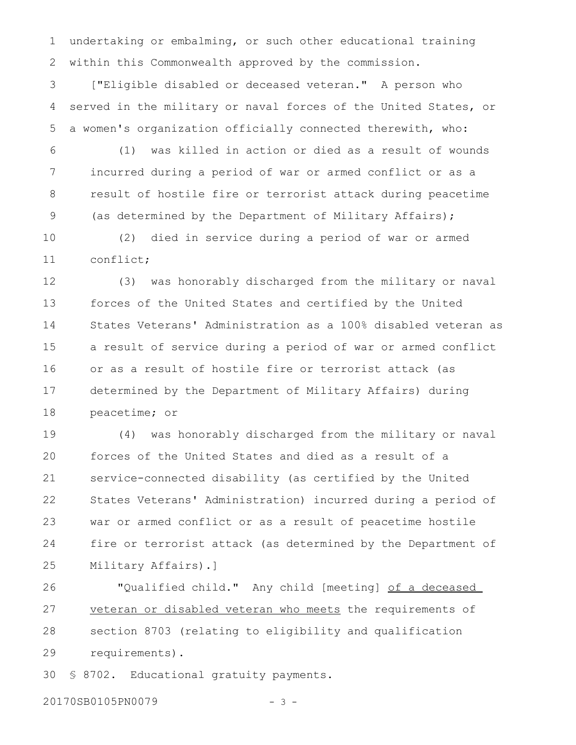undertaking or embalming, or such other educational training within this Commonwealth approved by the commission. 1 2

["Eligible disabled or deceased veteran." A person who served in the military or naval forces of the United States, or a women's organization officially connected therewith, who: 3 4 5

(1) was killed in action or died as a result of wounds incurred during a period of war or armed conflict or as a result of hostile fire or terrorist attack during peacetime (as determined by the Department of Military Affairs); 6 7 8 9

(2) died in service during a period of war or armed conflict; 10 11

(3) was honorably discharged from the military or naval forces of the United States and certified by the United States Veterans' Administration as a 100% disabled veteran as a result of service during a period of war or armed conflict or as a result of hostile fire or terrorist attack (as determined by the Department of Military Affairs) during peacetime; or 12 13 14 15 16 17 18

(4) was honorably discharged from the military or naval forces of the United States and died as a result of a service-connected disability (as certified by the United States Veterans' Administration) incurred during a period of war or armed conflict or as a result of peacetime hostile fire or terrorist attack (as determined by the Department of Military Affairs).] 19 20 21 22 23 24 25

"Qualified child." Any child [meeting] of a deceased veteran or disabled veteran who meets the requirements of section 8703 (relating to eligibility and qualification requirements). 26 27 28 29

§ 8702. Educational gratuity payments. 30

20170SB0105PN0079 - 3 -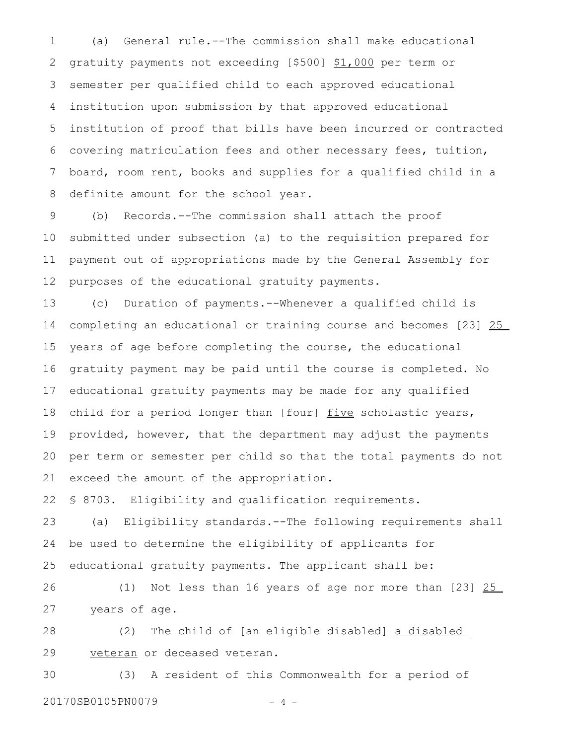(a) General rule.--The commission shall make educational gratuity payments not exceeding [\$500] \$1,000 per term or semester per qualified child to each approved educational institution upon submission by that approved educational institution of proof that bills have been incurred or contracted covering matriculation fees and other necessary fees, tuition, board, room rent, books and supplies for a qualified child in a definite amount for the school year. 1 2 3 4 5 6 7 8

(b) Records.--The commission shall attach the proof submitted under subsection (a) to the requisition prepared for payment out of appropriations made by the General Assembly for purposes of the educational gratuity payments. 9 10 11 12

(c) Duration of payments.--Whenever a qualified child is completing an educational or training course and becomes [23] 25 years of age before completing the course, the educational gratuity payment may be paid until the course is completed. No educational gratuity payments may be made for any qualified child for a period longer than [four] five scholastic years, provided, however, that the department may adjust the payments per term or semester per child so that the total payments do not exceed the amount of the appropriation. 13 14 15 16 17 18 19 20 21

§ 8703. Eligibility and qualification requirements. 22

(a) Eligibility standards.--The following requirements shall be used to determine the eligibility of applicants for educational gratuity payments. The applicant shall be: 23 24 25

(1) Not less than 16 years of age nor more than [23] 25 years of age. 26 27

(2) The child of [an eligible disabled] a disabled veteran or deceased veteran. 28 29

(3) A resident of this Commonwealth for a period of 20170SB0105PN0079 - 4 -30